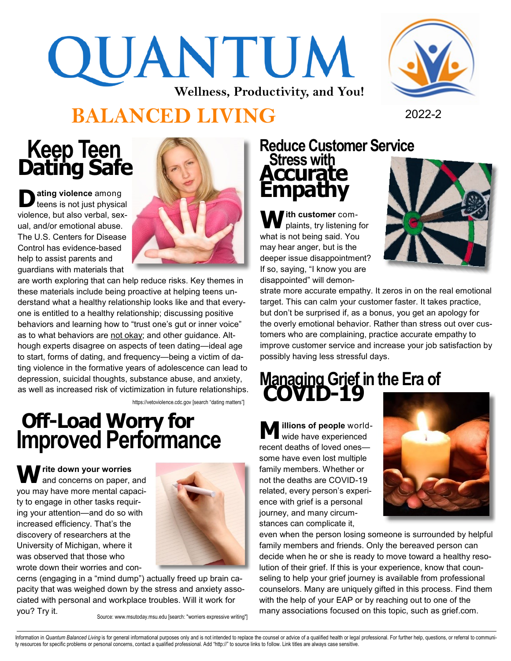# QUANTUM **Wellness, Productivity, and You!**



### **BALANCED LIVING** <sup>2022</sup>-<sup>2</sup>

### **Keep Teen Dating Safe**

**D ating violence** among teens is not just physical violence, but also verbal, sexual, and/or emotional abuse. The U.S. Centers for Disease Control has evidence-based help to assist parents and guardians with materials that



are worth exploring that can help reduce risks. Key themes in these materials include being proactive at helping teens understand what a healthy relationship looks like and that everyone is entitled to a healthy relationship; discussing positive behaviors and learning how to "trust one's gut or inner voice" as to what behaviors are not okay; and other guidance. Although experts disagree on aspects of teen dating—ideal age to start, forms of dating, and frequency—being a victim of dating violence in the formative years of adolescence can lead to depression, suicidal thoughts, substance abuse, and anxiety, as well as increased risk of victimization in future relationships.

https://vetoviolence.cdc.gov [search "dating matters"]

### **Off-Load Worry for Improved Performance**

**Write down your worries** and concerns on paper, and you may have more mental capacity to engage in other tasks requiring your attention—and do so with increased efficiency. That's the discovery of researchers at the University of Michigan, where it was observed that those who wrote down their worries and con-



cerns (engaging in a "mind dump") actually freed up brain capacity that was weighed down by the stress and anxiety associated with personal and workplace troubles. Will it work for you? Try it.

Source: www.msutoday.msu.edu [search: "worriers expressive writing"]

### **Reduce Customer Service Stress with Accurate Empathy**

**With customer** complaints, try listening for what is not being said. You may hear anger, but is the deeper issue disappointment? If so, saying, "I know you are disappointed" will demon-



strate more accurate empathy. It zeros in on the real emotional target. This can calm your customer faster. It takes practice, but don't be surprised if, as a bonus, you get an apology for the overly emotional behavior. Rather than stress out over customers who are complaining, practice accurate empathy to improve customer service and increase your job satisfaction by possibly having less stressful days.

## **Managing Grief in the Era of COVID-<sup>19</sup>**

**M illions of people** worldwide have experienced recent deaths of loved ones some have even lost multiple family members. Whether or not the deaths are COVID-19 related, every person's experience with grief is a personal journey, and many circumstances can complicate it,



even when the person losing someone is surrounded by helpful family members and friends. Only the bereaved person can decide when he or she is ready to move toward a healthy resolution of their grief. If this is your experience, know that counseling to help your grief journey is available from professional counselors. Many are uniquely gifted in this process. Find them with the help of your EAP or by reaching out to one of the many associations focused on this topic, such as grief.com.

Information in Quantum Balanced Living is for general informational purposes only and is not intended to replace the counsel or advice of a qualified health or legal professional. For further help, questions, or referral t ty resources for specific problems or personal concerns, contact a qualified professional. Add "http://" to source links to follow. Link titles are always case sensitive.